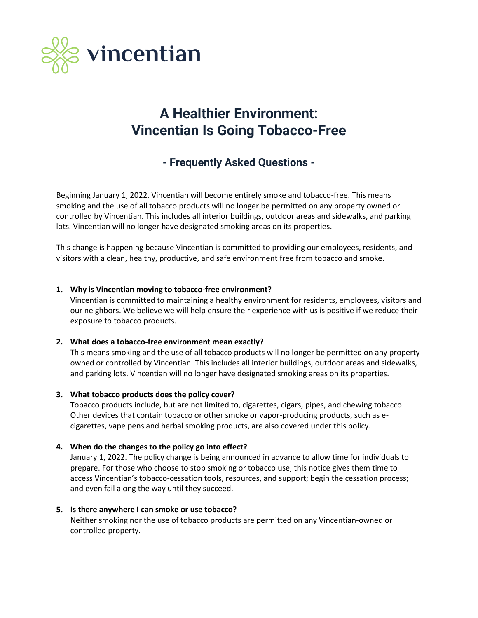

# **A Healthier Environment: Vincentian Is Going Tobacco-Free**

# **- Frequently Asked Questions -**

Beginning January 1, 2022, Vincentian will become entirely smoke and tobacco-free. This means smoking and the use of all tobacco products will no longer be permitted on any property owned or controlled by Vincentian. This includes all interior buildings, outdoor areas and sidewalks, and parking lots. Vincentian will no longer have designated smoking areas on its properties.

This change is happening because Vincentian is committed to providing our employees, residents, and visitors with a clean, healthy, productive, and safe environment free from tobacco and smoke.

# **1. Why is Vincentian moving to tobacco-free environment?**

Vincentian is committed to maintaining a healthy environment for residents, employees, visitors and our neighbors. We believe we will help ensure their experience with us is positive if we reduce their exposure to tobacco products.

#### **2. What does a tobacco-free environment mean exactly?**

This means smoking and the use of all tobacco products will no longer be permitted on any property owned or controlled by Vincentian. This includes all interior buildings, outdoor areas and sidewalks, and parking lots. Vincentian will no longer have designated smoking areas on its properties.

#### **3. What tobacco products does the policy cover?**

Tobacco products include, but are not limited to, cigarettes, cigars, pipes, and chewing tobacco. Other devices that contain tobacco or other smoke or vapor-producing products, such as ecigarettes, vape pens and herbal smoking products, are also covered under this policy.

# **4. When do the changes to the policy go into effect?**

January 1, 2022. The policy change is being announced in advance to allow time for individuals to prepare. For those who choose to stop smoking or tobacco use, this notice gives them time to access Vincentian's tobacco-cessation tools, resources, and support; begin the cessation process; and even fail along the way until they succeed.

#### **5. Is there anywhere I can smoke or use tobacco?**

Neither smoking nor the use of tobacco products are permitted on any Vincentian-owned or controlled property.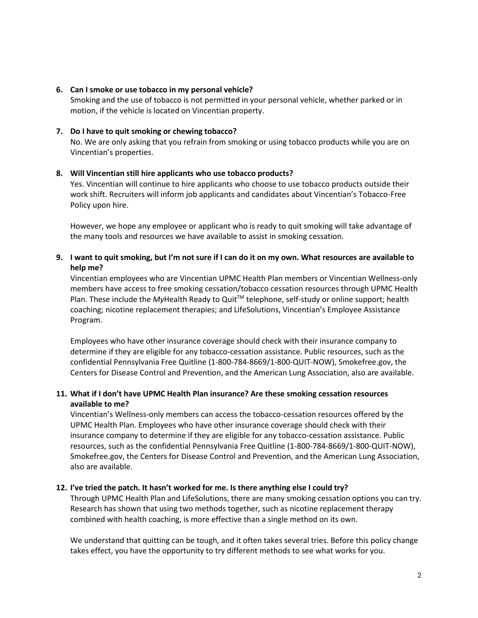#### **6. Can I smoke or use tobacco in my personal vehicle?**

Smoking and the use of tobacco is not permitted in your personal vehicle, whether parked or in motion, if the vehicle is located on Vincentian property.

#### **7. Do I have to quit smoking or chewing tobacco?**

No. We are only asking that you refrain from smoking or using tobacco products while you are on Vincentian's properties.

#### **8. Will Vincentian still hire applicants who use tobacco products?**

Yes. Vincentian will continue to hire applicants who choose to use tobacco products outside their work shift. Recruiters will inform job applicants and candidates about Vincentian's Tobacco-Free Policy upon hire.

However, we hope any employee or applicant who is ready to quit smoking will take advantage of the many tools and resources we have available to assist in smoking cessation.

# **9. I want to quit smoking, but I'm not sure if I can do it on my own. What resources are available to help me?**

Vincentian employees who are Vincentian UPMC Health Plan members or Vincentian Wellness-only members have access to free smoking cessation/tobacco cessation resources through UPMC Health Plan. These include the *My*Health Ready to Quit<sup>™</sup> telephone, self-study or online support; health coaching; nicotine replacement therapies; and LifeSolutions, Vincentian's Employee Assistance Program.

Employees who have other insurance coverage should check with their insurance company to determine if they are eligible for any tobacco-cessation assistance. Public resources, such as the confidential Pennsylvania Free Quitline (1-800-784-8669/1-800-QUIT-NOW), Smokefree.gov, the Centers for Disease Control and Prevention, and the American Lung Association, also are available.

# **11. What if I don't have UPMC Health Plan insurance? Are these smoking cessation resources available to me?**

Vincentian's Wellness-only members can access the tobacco-cessation resources offered by the UPMC Health Plan. Employees who have other insurance coverage should check with their insurance company to determine if they are eligible for any tobacco-cessation assistance. Public resources, such as the confidential Pennsylvania Free Quitline (1-800-784-8669/1-800-QUIT-NOW), Smokefree.gov, the Centers for Disease Control and Prevention, and the American Lung Association, also are available.

#### **12. I've tried the patch. It hasn't worked for me. Is there anything else I could try?**

Through UPMC Health Plan and LifeSolutions, there are many smoking cessation options you can try. Research has shown that using two methods together, such as nicotine replacement therapy combined with health coaching, is more effective than a single method on its own.

We understand that quitting can be tough, and it often takes several tries. Before this policy change takes effect, you have the opportunity to try different methods to see what works for you.